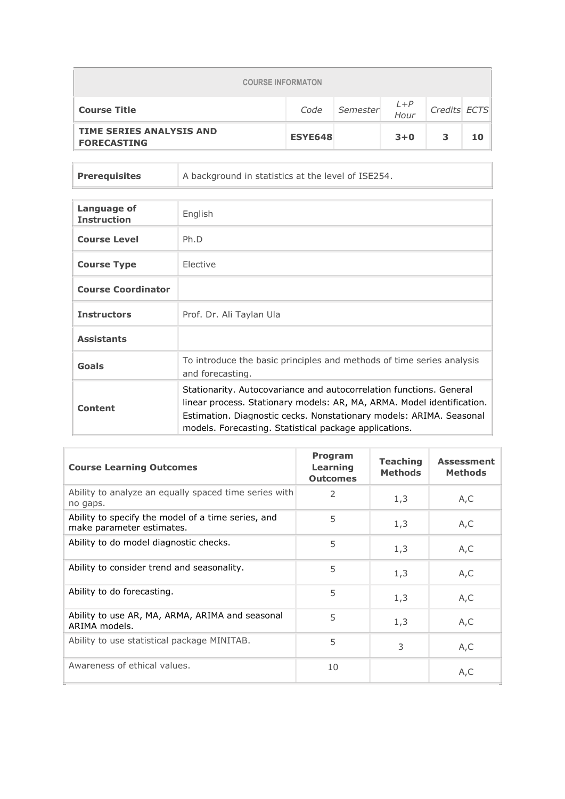| <b>COURSE INFORMATON</b>                              |                |          |                 |              |    |
|-------------------------------------------------------|----------------|----------|-----------------|--------------|----|
| <b>Course Title</b>                                   | Code           | Semester | $L + P$<br>Hour | Credits ECTS |    |
| <b>TIME SERIES ANALYSIS AND</b><br><b>FORECASTING</b> | <b>ESYE648</b> |          | $3 + 0$         | 3            | 10 |

**Prerequisites** A background in statistics at the level of ISE254.

| Language of<br><b>Instruction</b> | English                                                                                                                                                                                                                                                                        |
|-----------------------------------|--------------------------------------------------------------------------------------------------------------------------------------------------------------------------------------------------------------------------------------------------------------------------------|
| <b>Course Level</b>               | Ph.D                                                                                                                                                                                                                                                                           |
| <b>Course Type</b>                | Elective                                                                                                                                                                                                                                                                       |
| <b>Course Coordinator</b>         |                                                                                                                                                                                                                                                                                |
| <b>Instructors</b>                | Prof. Dr. Ali Taylan Ula                                                                                                                                                                                                                                                       |
| <b>Assistants</b>                 |                                                                                                                                                                                                                                                                                |
| Goals                             | To introduce the basic principles and methods of time series analysis<br>and forecasting.                                                                                                                                                                                      |
| Content                           | Stationarity. Autocovariance and autocorrelation functions. General<br>linear process. Stationary models: AR, MA, ARMA. Model identification.<br>Estimation. Diagnostic cecks. Nonstationary models: ARIMA. Seasonal<br>models. Forecasting. Statistical package applications. |

| <b>Course Learning Outcomes</b>                                                 | Program<br>Learning<br><b>Outcomes</b> | <b>Teaching</b><br><b>Methods</b> | <b>Assessment</b><br><b>Methods</b> |
|---------------------------------------------------------------------------------|----------------------------------------|-----------------------------------|-------------------------------------|
| Ability to analyze an equally spaced time series with<br>no gaps.               | $\mathcal{P}$                          | 1,3                               | A,C                                 |
| Ability to specify the model of a time series, and<br>make parameter estimates. | 5                                      | 1,3                               | A, C                                |
| Ability to do model diagnostic checks.                                          | 5                                      | 1,3                               | A, C                                |
| Ability to consider trend and seasonality.                                      | 5                                      | 1,3                               | A,C                                 |
| Ability to do forecasting.                                                      | 5                                      | 1,3                               | A, C                                |
| Ability to use AR, MA, ARMA, ARIMA and seasonal<br>ARIMA models.                | 5                                      | 1,3                               | A, C                                |
| Ability to use statistical package MINITAB.                                     | 5                                      | 3                                 | A, C                                |
| Awareness of ethical values.                                                    | 10                                     |                                   | A, C                                |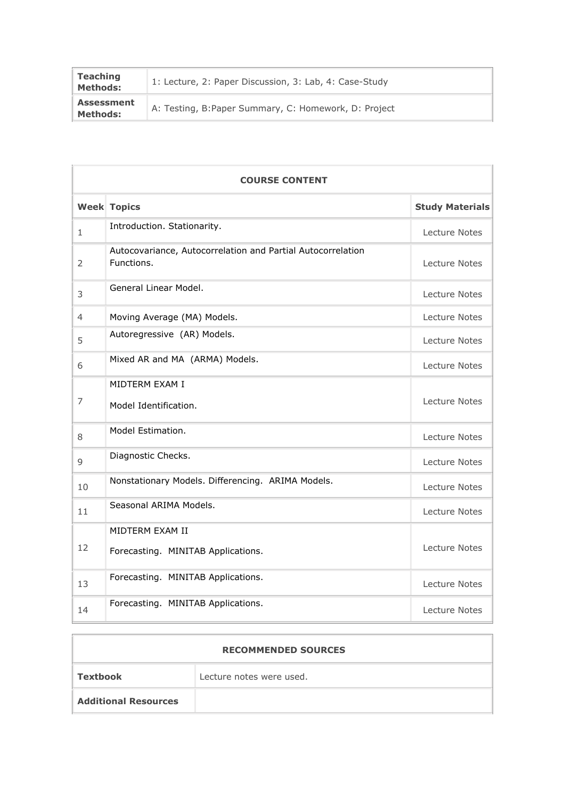| <b>Teaching</b><br><b>Methods:</b> | 1: Lecture, 2: Paper Discussion, 3: Lab, 4: Case-Study |
|------------------------------------|--------------------------------------------------------|
| <b>Assessment</b><br>Methods:      | A: Testing, B:Paper Summary, C: Homework, D: Project   |

|                | <b>COURSE CONTENT</b>                                                     |                        |  |  |  |
|----------------|---------------------------------------------------------------------------|------------------------|--|--|--|
|                | <b>Week Topics</b>                                                        | <b>Study Materials</b> |  |  |  |
| $\mathbf{1}$   | Introduction. Stationarity.                                               | Lecture Notes          |  |  |  |
| 2              | Autocovariance, Autocorrelation and Partial Autocorrelation<br>Functions. | Lecture Notes          |  |  |  |
| 3              | General Linear Model.                                                     | Lecture Notes          |  |  |  |
| $\overline{4}$ | Moving Average (MA) Models.                                               | Lecture Notes          |  |  |  |
| 5              | Autoregressive (AR) Models.                                               | Lecture Notes          |  |  |  |
| 6              | Mixed AR and MA (ARMA) Models.                                            | Lecture Notes          |  |  |  |
| 7              | MIDTERM EXAM I<br>Model Identification.                                   | Lecture Notes          |  |  |  |
| 8              | Model Estimation.                                                         | Lecture Notes          |  |  |  |
| 9              | Diagnostic Checks.                                                        | Lecture Notes          |  |  |  |
| 10             | Nonstationary Models. Differencing. ARIMA Models.                         | Lecture Notes          |  |  |  |
| 11             | Seasonal ARIMA Models.                                                    | Lecture Notes          |  |  |  |
| 12             | MIDTERM EXAM II<br>Forecasting. MINITAB Applications.                     | Lecture Notes          |  |  |  |
| 13             | Forecasting. MINITAB Applications.                                        | Lecture Notes          |  |  |  |
| 14             | Forecasting. MINITAB Applications.                                        | Lecture Notes          |  |  |  |

| <b>RECOMMENDED SOURCES</b>  |                          |  |  |  |
|-----------------------------|--------------------------|--|--|--|
| Textbook                    | Lecture notes were used. |  |  |  |
| <b>Additional Resources</b> |                          |  |  |  |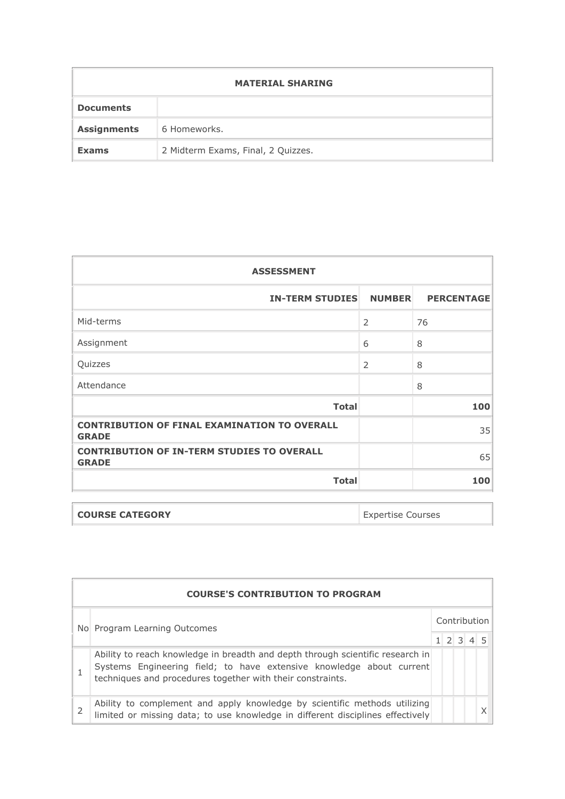| <b>MATERIAL SHARING</b> |                                    |  |  |  |  |
|-------------------------|------------------------------------|--|--|--|--|
| <b>Documents</b>        |                                    |  |  |  |  |
| <b>Assignments</b>      | 6 Homeworks.                       |  |  |  |  |
| <b>Exams</b>            | 2 Midterm Exams, Final, 2 Quizzes. |  |  |  |  |

| <b>ASSESSMENT</b>                                                   |                |     |  |  |  |
|---------------------------------------------------------------------|----------------|-----|--|--|--|
| <b>IN-TERM STUDIES</b><br><b>NUMBER</b><br><b>PERCENTAGE</b>        |                |     |  |  |  |
| Mid-terms                                                           | $\overline{2}$ | 76  |  |  |  |
| Assignment                                                          | 6              | 8   |  |  |  |
| Quizzes                                                             | $\overline{2}$ | 8   |  |  |  |
| Attendance                                                          |                | 8   |  |  |  |
| <b>Total</b>                                                        |                | 100 |  |  |  |
| <b>CONTRIBUTION OF FINAL EXAMINATION TO OVERALL</b><br><b>GRADE</b> |                | 35  |  |  |  |
| <b>CONTRIBUTION OF IN-TERM STUDIES TO OVERALL</b><br><b>GRADE</b>   |                | 65  |  |  |  |
| <b>Total</b>                                                        |                | 100 |  |  |  |

| <b>COURSE CATEGORY</b> | <b>Expertise Courses</b> |
|------------------------|--------------------------|
|                        |                          |

| <b>COURSE'S CONTRIBUTION TO PROGRAM</b>                                                                                                                                                                              |  |  |                                     |  |  |  |  |
|----------------------------------------------------------------------------------------------------------------------------------------------------------------------------------------------------------------------|--|--|-------------------------------------|--|--|--|--|
| No Program Learning Outcomes                                                                                                                                                                                         |  |  | Contribution<br>$1 \ 2 \ 3 \ 4 \ 5$ |  |  |  |  |
| Ability to reach knowledge in breadth and depth through scientific research in<br>Systems Engineering field; to have extensive knowledge about current<br>techniques and procedures together with their constraints. |  |  |                                     |  |  |  |  |
| Ability to complement and apply knowledge by scientific methods utilizing<br>limited or missing data; to use knowledge in different disciplines effectively                                                          |  |  |                                     |  |  |  |  |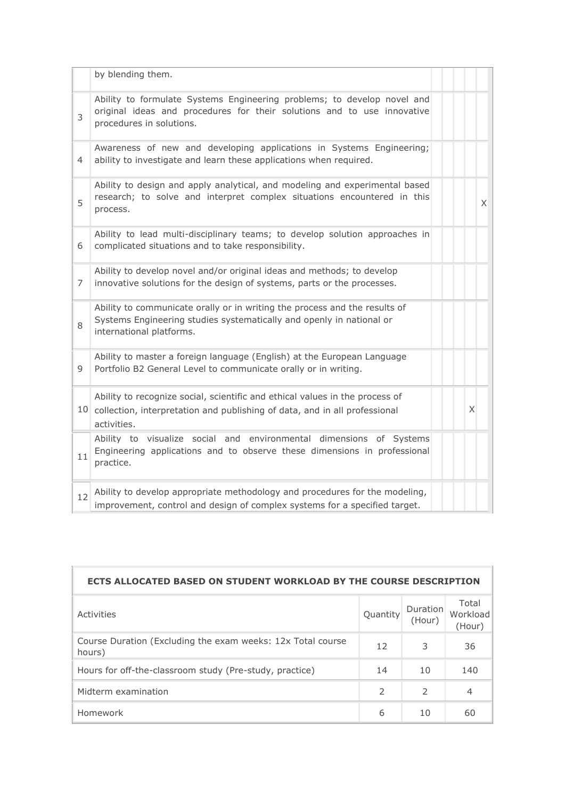|    | by blending them.                                                                                                                                                              |          |   |
|----|--------------------------------------------------------------------------------------------------------------------------------------------------------------------------------|----------|---|
| 3  | Ability to formulate Systems Engineering problems; to develop novel and<br>original ideas and procedures for their solutions and to use innovative<br>procedures in solutions. |          |   |
| 4  | Awareness of new and developing applications in Systems Engineering;<br>ability to investigate and learn these applications when required.                                     |          |   |
| 5  | Ability to design and apply analytical, and modeling and experimental based<br>research; to solve and interpret complex situations encountered in this<br>process.             |          | X |
| 6  | Ability to lead multi-disciplinary teams; to develop solution approaches in<br>complicated situations and to take responsibility.                                              |          |   |
| 7  | Ability to develop novel and/or original ideas and methods; to develop<br>innovative solutions for the design of systems, parts or the processes.                              |          |   |
| 8  | Ability to communicate orally or in writing the process and the results of<br>Systems Engineering studies systematically and openly in national or<br>international platforms. |          |   |
| 9  | Ability to master a foreign language (English) at the European Language<br>Portfolio B2 General Level to communicate orally or in writing.                                     |          |   |
|    | Ability to recognize social, scientific and ethical values in the process of<br>10 collection, interpretation and publishing of data, and in all professional<br>activities.   | $\times$ |   |
| 11 | Ability to visualize social and environmental dimensions of Systems<br>Engineering applications and to observe these dimensions in professional<br>practice.                   |          |   |
| 12 | Ability to develop appropriate methodology and procedures for the modeling,<br>improvement, control and design of complex systems for a specified target.                      |          |   |

| ECTS ALLOCATED BASED ON STUDENT WORKLOAD BY THE COURSE DESCRIPTION    |               |               |                |  |  |  |  |
|-----------------------------------------------------------------------|---------------|---------------|----------------|--|--|--|--|
| Duration<br>Quantity<br>Workload<br>Activities<br>(Hour)<br>(Hour)    |               |               |                |  |  |  |  |
| Course Duration (Excluding the exam weeks: 12x Total course<br>hours) | 12            | 3             | 36             |  |  |  |  |
| Hours for off-the-classroom study (Pre-study, practice)               | 14            | 10            | 140            |  |  |  |  |
| Midterm examination                                                   | $\mathcal{P}$ | $\mathcal{P}$ | $\overline{4}$ |  |  |  |  |
| Homework                                                              | 6             | 10            | 60             |  |  |  |  |